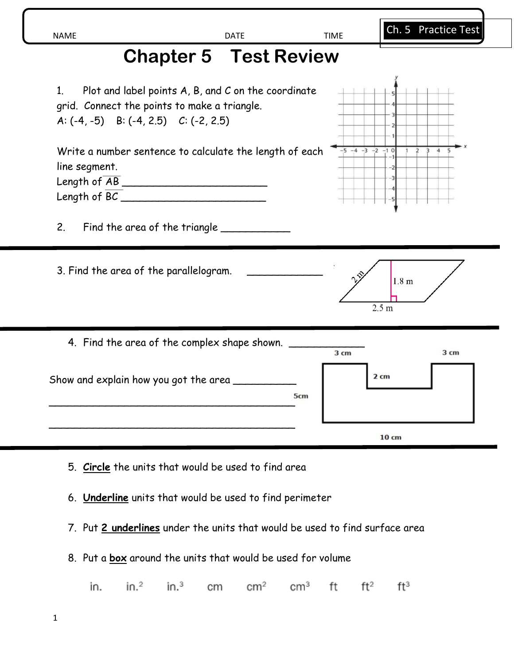| NAME | $- -$<br>. .<br>. . | $\overline{\phantom{0}}$<br>л<br>. .<br>. . |
|------|---------------------|---------------------------------------------|
|      |                     |                                             |
|      |                     |                                             |

## **Chapter 5 Test Review**



5. **Circle** the units that would be used to find area

6. **Underline** units that would be used to find perimeter

7. Put **2 underlines** under the units that would be used to find surface area

8. Put a **box** around the units that would be used for volume

in. $3$  $\rm cm^3$ in.  $in.^2$ cm  $\rm cm^2$ ft  $ft^2$  $ft^3$ 

Ch. 5 Practice Test